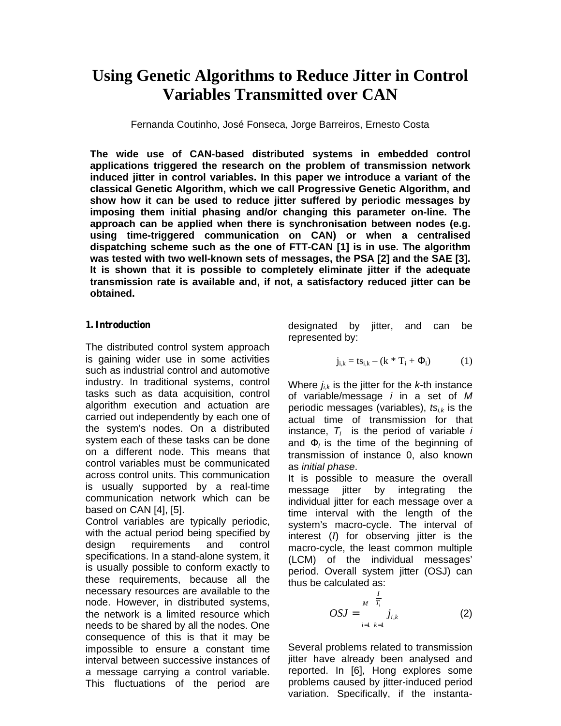# **Using Genetic Algorithms to Reduce Jitter in Control Variables Transmitted over CAN**

Fernanda Coutinho, José Fonseca, Jorge Barreiros, Ernesto Costa

**The wide use of CAN-based distributed systems in embedded control applications triggered the research on the problem of transmission network induced jitter in control variables. In this paper we introduce a variant of the classical Genetic Algorithm, which we call Progressive Genetic Algorithm, and show how it can be used to reduce jitter suffered by periodic messages by imposing them initial phasing and/or changing this parameter on-line. The approach can be applied when there is synchronisation between nodes (e.g. using time-triggered communication on CAN) or when a centralised dispatching scheme such as the one of FTT-CAN [1] is in use. The algorithm was tested with two well-known sets of messages, the PSA [2] and the SAE [3]. It is shown that it is possible to completely eliminate jitter if the adequate transmission rate is available and, if not, a satisfactory reduced jitter can be obtained.**

#### *1. Introduction*

The distributed control system approach is gaining wider use in some activities such as industrial control and automotive industry. In traditional systems, control tasks such as data acquisition, control algorithm execution and actuation are carried out independently by each one of the system's nodes. On a distributed system each of these tasks can be done on a different node. This means that control variables must be communicated across control units. This communication is usually supported by a real-time communication network which can be based on CAN [4], [5].

Control variables are typically periodic, with the actual period being specified by design requirements and control specifications. In a stand-alone system, it is usually possible to conform exactly to these requirements, because all the necessary resources are available to the node. However, in distributed systems, the network is a limited resource which needs to be shared by all the nodes. One consequence of this is that it may be impossible to ensure a constant time interval between successive instances of a message carrying a control variable. This fluctuations of the period are

designated by jitter, and can be represented by:

$$
j_{i,k} = ts_{i,k} - (k * T_i + i)
$$
 (1)

Where  $j_{i,k}$  is the jitter for the  $k$ -th instance of variable/message *i* in a set of *M* periodic messages (variables), *tsi,k* is the actual time of transmission for that instance, *Ti* is the period of variable *i* and *<sup>i</sup>* is the time of the beginning of transmission of instance 0, also known as *initial phase*.

It is possible to measure the overall message jitter by integrating the individual jitter for each message over a time interval with the length of the system's macro-cycle. The interval of interest (*I*) for observing jitter is the macro-cycle, the least common multiple (LCM) of the individual messages' period. Overall system jitter (OSJ) can thus be calculated as:

$$
OSJ = \int_{i=1}^{M} \frac{1}{T_i} j_{i,k}
$$
 (2)

Several problems related to transmission jitter have already been analysed and reported. In [6], Hong explores some problems caused by jitter-induced period variation. Specifically, if the instanta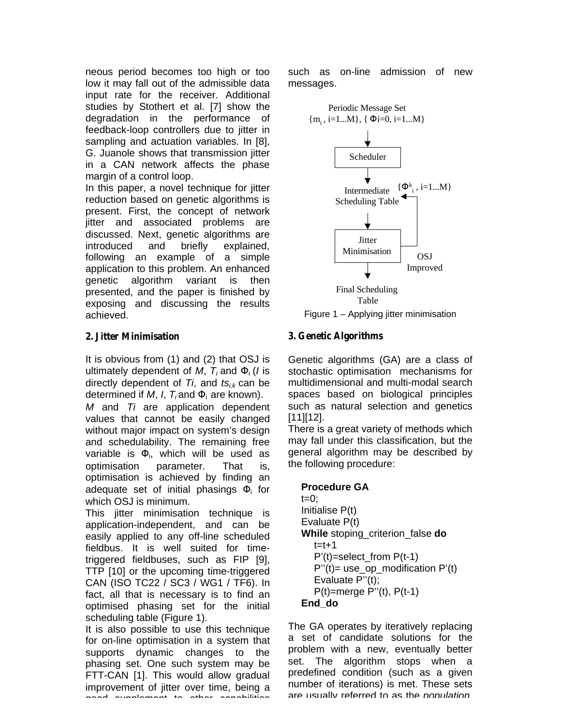neous period becomes too high or too low it may fall out of the admissible data input rate for the receiver. Additional studies by Stothert et al. [7] show the degradation in the performance of feedback-loop controllers due to jitter in sampling and actuation variables. In [8], G. Juanole shows that transmission jitter in a CAN network affects the phase margin of a control loop.

In this paper, a novel technique for jitter reduction based on genetic algorithms is present. First, the concept of network jitter and associated problems are discussed. Next, genetic algorithms are introduced and briefly explained, following an example of a simple application to this problem. An enhanced genetic algorithm variant is then presented, and the paper is finished by exposing and discussing the results achieved.

## *2. Jitter Minimisation*

It is obvious from (1) and (2) that OSJ is ultimately dependent of M,  $T_i$  and *i* (*I* is directly dependent of *Ti*, and *tsi,k* can be determined if *M*, *I*, *T<sup>i</sup>* and i are known).

*M* and *Ti* are application dependent values that cannot be easily changed without major impact on system's design and schedulability. The remaining free variable is  $\mathbf{v}$ , which will be used as optimisation parameter. That is, optimisation is achieved by finding an adequate set of initial phasings  $\frac{1}{10}$  for which OSJ is minimum.

This jitter minimisation technique is application-independent, and can be easily applied to any off-line scheduled fieldbus. It is well suited for timetriggered fieldbuses, such as FIP [9], TTP [10] or the upcoming time-triggered CAN (ISO TC22 / SC3 / WG1 / TF6). In fact, all that is necessary is to find an optimised phasing set for the initial scheduling table (Figure 1).

It is also possible to use this technique for on-line optimisation in a system that supports dynamic changes to the phasing set. One such system may be FTT-CAN [1]. This would allow gradual improvement of jitter over time, being a .<br>La supplement to other capabilities

such as on-line admission of new messages.



Figure 1 – Applying jitter minimisation

# *3. Genetic Algorithms*

Genetic algorithms (GA) are a class of stochastic optimisation mechanisms for multidimensional and multi-modal search spaces based on biological principles such as natural selection and genetics [11][12].

There is a great variety of methods which may fall under this classification, but the general algorithm may be described by the following procedure:

```
Procedure GA
t=0:
Initialise P(t)
Evaluate P(t)
While stoping_criterion_false do
  t=t+1P'(t)=select_from P(t-1)
  P''(t) = use_op_modification P'(t)Evaluate P"(t);
  P(t)=merge P''(t), P(t-1)End_do
```
The GA operates by iteratively replacing a set of candidate solutions for the problem with a new, eventually better set. The algorithm stops when a predefined condition (such as a given number of iterations) is met. These sets are usually referred to as the *population*,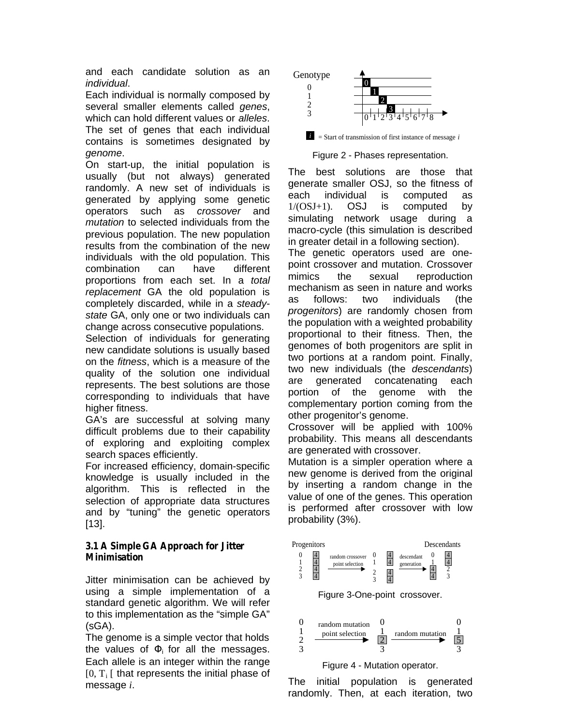and each candidate solution as an *individual*.

Each individual is normally composed by several smaller elements called *genes*, which can hold different values or *alleles*. The set of genes that each individual contains is sometimes designated by *genome*.

On start-up, the initial population is usually (but not always) generated randomly. A new set of individuals is generated by applying some genetic operators such as *crossover* and *mutation* to selected individuals from the previous population. The new population results from the combination of the new individuals with the old population. This combination can have different proportions from each set. In a *total replacement* GA the old population is completely discarded, while in a *steadystate* GA, only one or two individuals can change across consecutive populations.

Selection of individuals for generating new candidate solutions is usually based on the *fitness*, which is a measure of the quality of the solution one individual represents. The best solutions are those corresponding to individuals that have higher fitness.

GA's are successful at solving many difficult problems due to their capability of exploring and exploiting complex search spaces efficiently.

For increased efficiency, domain-specific knowledge is usually included in the algorithm. This is reflected in the selection of appropriate data structures and by "tuning" the genetic operators  $[13]$ .

## *3.1 A Simple GA Approach for Jitter Minimisation*

Jitter minimisation can be achieved by using a simple implementation of a standard genetic algorithm. We will refer to this implementation as the "simple GA" (sGA).

The genome is a simple vector that holds the values of  $\mathbf{i}$  for all the messages. Each allele is an integer within the range  $[0, T_i]$  that represents the initial phase of message *i*.







The best solutions are those that generate smaller OSJ, so the fitness of each individual is computed as 1/(OSJ+1). OSJ is computed by simulating network usage during a macro-cycle (this simulation is described in greater detail in a following section).

The genetic operators used are onepoint crossover and mutation. Crossover mimics the sexual reproduction mechanism as seen in nature and works as follows: two individuals (the *progenitors*) are randomly chosen from the population with a weighted probability proportional to their fitness. Then, the genomes of both progenitors are split in two portions at a random point. Finally, two new individuals (the *descendants*) are generated concatenating each portion of the genome with the complementary portion coming from the other progenitor's genome.

Crossover will be applied with 100% probability. This means all descendants are generated with crossover.

Mutation is a simpler operation where a new genome is derived from the original by inserting a random change in the value of one of the genes. This operation is performed after crossover with low probability (3%).



The initial population is generated randomly. Then, at each iteration, two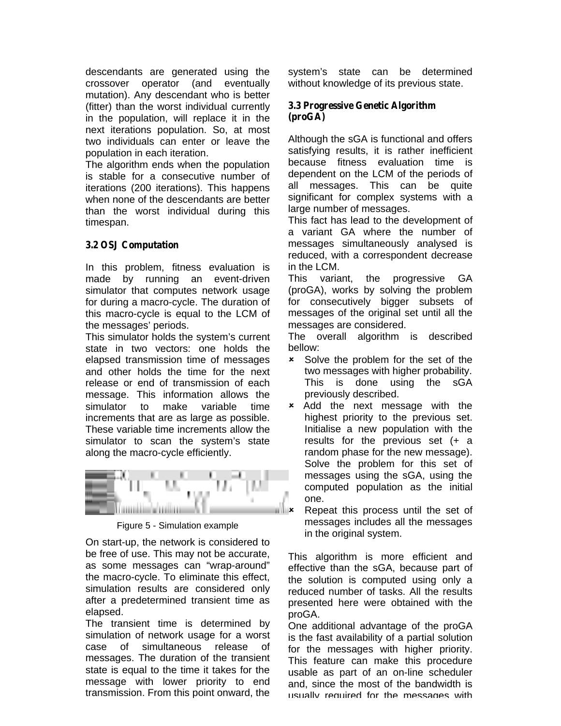descendants are generated using the crossover operator (and eventually mutation). Any descendant who is better (fitter) than the worst individual currently in the population, will replace it in the next iterations population. So, at most two individuals can enter or leave the population in each iteration.

The algorithm ends when the population is stable for a consecutive number of iterations (200 iterations). This happens when none of the descendants are better than the worst individual during this timespan.

## *3.2 OSJ Computation*

In this problem, fitness evaluation is made by running an event-driven simulator that computes network usage for during a macro-cycle. The duration of this macro-cycle is equal to the LCM of the messages' periods.

This simulator holds the system's current state in two vectors: one holds the elapsed transmission time of messages and other holds the time for the next release or end of transmission of each message. This information allows the simulator to make variable time increments that are as large as possible. These variable time increments allow the simulator to scan the system's state along the macro-cycle efficiently.



Figure 5 - Simulation example

On start-up, the network is considered to be free of use. This may not be accurate, as some messages can "wrap-around" the macro-cycle. To eliminate this effect, simulation results are considered only after a predetermined transient time as elapsed.

The transient time is determined by simulation of network usage for a worst case of simultaneous release of messages. The duration of the transient state is equal to the time it takes for the message with lower priority to end transmission. From this point onward, the

system's state can be determined without knowledge of its previous state.

#### *3.3 Progressive Genetic Algorithm (proGA)*

Although the sGA is functional and offers satisfying results, it is rather inefficient because fitness evaluation time is dependent on the LCM of the periods of all messages. This can be quite significant for complex systems with a large number of messages.

This fact has lead to the development of a variant GA where the number of messages simultaneously analysed is reduced, with a correspondent decrease in the LCM.

This variant, the progressive GA (proGA), works by solving the problem for consecutively bigger subsets of messages of the original set until all the messages are considered.

The overall algorithm is described bellow:

- **\*** Solve the problem for the set of the two messages with higher probability. This is done using the sGA previously described.
- **\*** Add the next message with the highest priority to the previous set. Initialise a new population with the results for the previous set (+ a random phase for the new message). Solve the problem for this set of messages using the sGA, using the computed population as the initial one.
	- Repeat this process until the set of messages includes all the messages in the original system.

This algorithm is more efficient and effective than the sGA, because part of the solution is computed using only a reduced number of tasks. All the results presented here were obtained with the proGA.

One additional advantage of the proGA is the fast availability of a partial solution for the messages with higher priority. This feature can make this procedure usable as part of an on-line scheduler and, since the most of the bandwidth is usually required for the messages with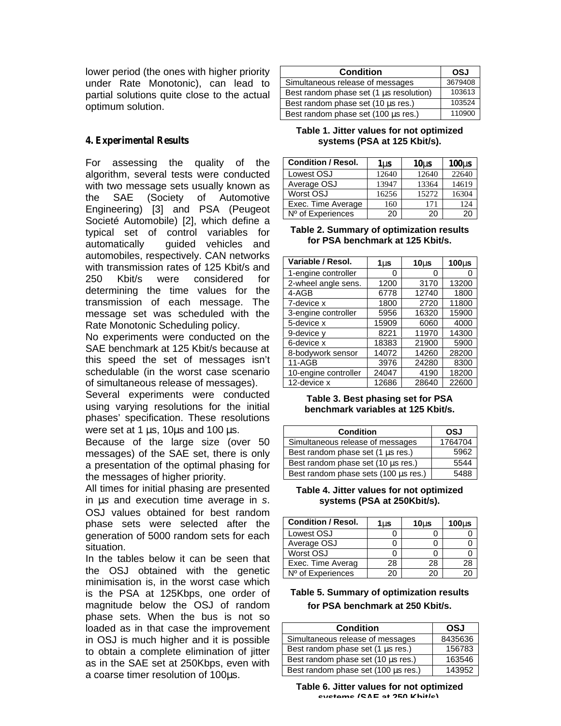lower period (the ones with higher priority under Rate Monotonic), can lead to partial solutions quite close to the actual optimum solution.

## *4. Experimental Results*

For assessing the quality of the algorithm, several tests were conducted with two message sets usually known as the SAE (Society of Automotive Engineering) [3] and PSA (Peugeot Societé Automobile) [2], which define a typical set of control variables for automatically quided vehicles and automobiles, respectively. CAN networks with transmission rates of 125 Kbit/s and 250 Kbit/s were considered for determining the time values for the transmission of each message. The message set was scheduled with the Rate Monotonic Scheduling policy.

No experiments were conducted on the SAE benchmark at 125 Kbit/s because at this speed the set of messages isn't schedulable (in the worst case scenario of simultaneous release of messages).

Several experiments were conducted using varying resolutions for the initial phases' specification. These resolutions were set at 1 μs, 10μs and 100 μs.

Because of the large size (over 50 messages) of the SAE set, there is only a presentation of the optimal phasing for the messages of higher priority.

All times for initial phasing are presented in μ*s* and execution time average in *s*. OSJ values obtained for best random phase sets were selected after the generation of 5000 random sets for each situation.

In the tables below it can be seen that the OSJ obtained with the genetic minimisation is, in the worst case which is the PSA at 125Kbps, one order of magnitude below the OSJ of random phase sets. When the bus is not so loaded as in that case the improvement in OSJ is much higher and it is possible to obtain a complete elimination of jitter as in the SAE set at 250Kbps, even with a coarse timer resolution of 100μs.

| <b>Condition</b>                        | OSJ     |
|-----------------------------------------|---------|
| Simultaneous release of messages        | 3679408 |
| Best random phase set (1 µs resolution) | 103613  |
| Best random phase set (10 µs res.)      | 103524  |
| Best random phase set (100 µs res.)     | 110900  |

**Table 1. Jitter values for not optimized systems (PSA at 125 Kbit/s).**

| <b>Condition / Resol.</b> | 1 <sub>us</sub> | 10 <sub>us</sub> | $100\mu s$ |
|---------------------------|-----------------|------------------|------------|
| Lowest OSJ                | 12640           | 12640            | 22640      |
| Average OSJ               | 13947           | 13364            | 14619      |
| Worst OSJ                 | 16256           | 15272            | 16304      |
| Exec. Time Average        | 160             | 171              | 124        |
| Nº of Experiences         | 20              | 20               | 20         |

#### **Table 2. Summary of optimization results for PSA benchmark at 125 Kbit/s.**

| Variable / Resol.    | 1µs   | $10\mu s$ | $100\mu s$ |
|----------------------|-------|-----------|------------|
| 1-engine controller  | 0     | 0         |            |
| 2-wheel angle sens.  | 1200  | 3170      | 13200      |
| 4-AGB                | 6778  | 12740     | 1800       |
| 7-device x           | 1800  | 2720      | 11800      |
| 3-engine controller  | 5956  | 16320     | 15900      |
| 5-device x           | 15909 | 6060      | 4000       |
| 9-device y           | 8221  | 11970     | 14300      |
| 6-device x           | 18383 | 21900     | 5900       |
| 8-bodywork sensor    | 14072 | 14260     | 28200      |
| $11 - AGB$           | 3976  | 24280     | 8300       |
| 10-engine controller | 24047 | 4190      | 18200      |
| 12-device x          | 12686 | 28640     | 22600      |

**Table 3. Best phasing set for PSA benchmark variables at 125 Kbit/s.**

| <b>Condition</b>                       | OSJ     |
|----------------------------------------|---------|
| Simultaneous release of messages       | 1764704 |
| Best random phase set $(1 \mu s$ res.) | 5962    |
| Best random phase set (10 µs res.)     | 5544    |
| Best random phase sets (100 µs res.)   | 5488    |

#### **Table 4. Jitter values for not optimized systems (PSA at 250Kbit/s).**

| <b>Condition / Resol.</b> | 1us | $10U$ s | $100\mu s$ |
|---------------------------|-----|---------|------------|
| Lowest OSJ                |     |         |            |
| Average OSJ               |     |         |            |
| Worst OSJ                 |     |         |            |
| Exec. Time Averag         | 28  | 28      | 28         |
| Nº of Experiences         | 20  | ንበ      |            |

## **Table 5. Summary of optimization results for PSA benchmark at 250 Kbit/s.**

| <b>Condition</b>                       | <b>OSJ</b> |
|----------------------------------------|------------|
| Simultaneous release of messages       | 8435636    |
| Best random phase set $(1 \mu s$ res.) | 156783     |
| Best random phase set (10 µs res.)     | 163546     |
| Best random phase set (100 µs res.)    | 143952     |

**Table 6. Jitter values for not optimized systems (SAE at 250 Kbit/s).**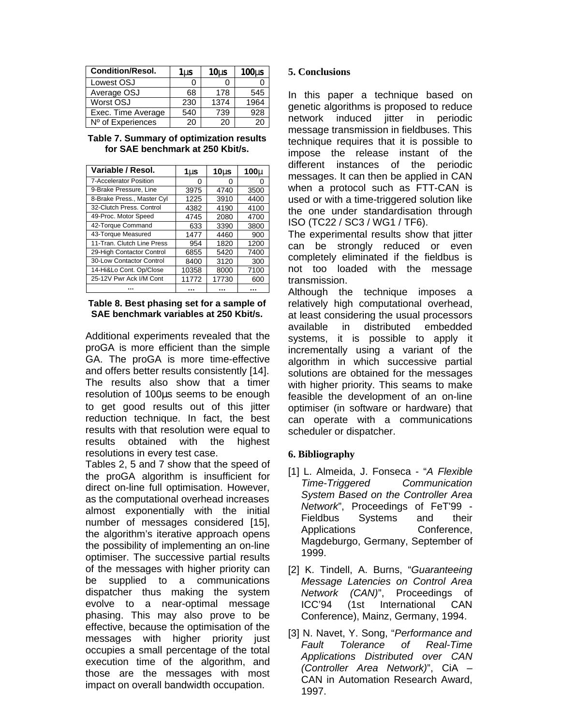| <b>Condition/Resol.</b> | $1 \mu s$ | 10 <sub>u</sub> | $100\mu s$ |
|-------------------------|-----------|-----------------|------------|
| Lowest OSJ              |           |                 |            |
| Average OSJ             | 68        | 178             | 545        |
| Worst OSJ               | 230       | 1374            | 1964       |
| Exec. Time Average      | 540       | 739             | 928        |
| Nº of Experiences       | 20        | 20              | 20         |

#### **Table 7. Summary of optimization results for SAE benchmark at 250 Kbit/s.**

| Variable / Resol.             | 1µs   | 10 $\mu$ s | $100\mu$ |
|-------------------------------|-------|------------|----------|
| <b>7-Accelerator Position</b> | Ω     | Ω          | 0        |
| 9-Brake Pressure, Line        | 3975  | 4740       | 3500     |
| 8-Brake Press., Master Cyl    | 1225  | 3910       | 4400     |
| 32-Clutch Press, Control      | 4382  | 4190       | 4100     |
| 49-Proc. Motor Speed          | 4745  | 2080       | 4700     |
| 42-Torque Command             | 633   | 3390       | 3800     |
| 43-Torque Measured            | 1477  | 4460       | 900      |
| 11-Tran. Clutch Line Press    | 954   | 1820       | 1200     |
| 29-High Contactor Control     | 6855  | 5420       | 7400     |
| 30-Low Contactor Control      | 8400  | 3120       | 300      |
| 14-Hi&Lo Cont. Op/Close       | 10358 | 8000       | 7100     |
| 25-12V Pwr Ack I/M Cont       | 11772 | 17730      | 600      |
|                               |       |            |          |

**Table 8. Best phasing set for a sample of SAE benchmark variables at 250 Kbit/s.**

Additional experiments revealed that the proGA is more efficient than the simple GA. The proGA is more time-effective and offers better results consistently [14]. The results also show that a timer resolution of 100μs seems to be enough to get good results out of this jitter reduction technique. In fact, the best results with that resolution were equal to results obtained with the highest resolutions in every test case.

Tables 2, 5 and 7 show that the speed of the proGA algorithm is insufficient for direct on-line full optimisation. However, as the computational overhead increases almost exponentially with the initial number of messages considered [15], the algorithm's iterative approach opens the possibility of implementing an on-line optimiser. The successive partial results of the messages with higher priority can be supplied to a communications dispatcher thus making the system evolve to a near-optimal message phasing. This may also prove to be effective, because the optimisation of the messages with higher priority just occupies a small percentage of the total execution time of the algorithm, and those are the messages with most impact on overall bandwidth occupation.

## **5. Conclusions**

In this paper a technique based on genetic algorithms is proposed to reduce network induced iitter in periodic message transmission in fieldbuses. This technique requires that it is possible to impose the release instant of the different instances of the periodic messages. It can then be applied in CAN when a protocol such as FTT-CAN is used or with a time-triggered solution like the one under standardisation through ISO (TC22 / SC3 / WG1 / TF6).

The experimental results show that jitter can be strongly reduced or even completely eliminated if the fieldbus is not too loaded with the message transmission.

Although the technique imposes a relatively high computational overhead, at least considering the usual processors available in distributed embedded systems, it is possible to apply it incrementally using a variant of the algorithm in which successive partial solutions are obtained for the messages with higher priority. This seams to make feasible the development of an on-line optimiser (in software or hardware) that can operate with a communications scheduler or dispatcher.

## **6. Bibliography**

- [1] L. Almeida, J. Fonseca "*A Flexible Time-Triggered Communication System Based on the Controller Area Network*", Proceedings of FeT'99 - Fieldbus Systems and their Applications Conference, Magdeburgo, Germany, September of 1999.
- [2] K. Tindell, A. Burns, "*Guaranteeing Message Latencies on Control Area Network (CAN)*", Proceedings of ICC'94 (1st International CAN Conference), Mainz, Germany, 1994.
- [3] N. Navet, Y. Song, "*Performance and Fault Tolerance of Real-Time Applications Distributed over CAN (Controller Area Network)*", CiA – CAN in Automation Research Award, 1997.